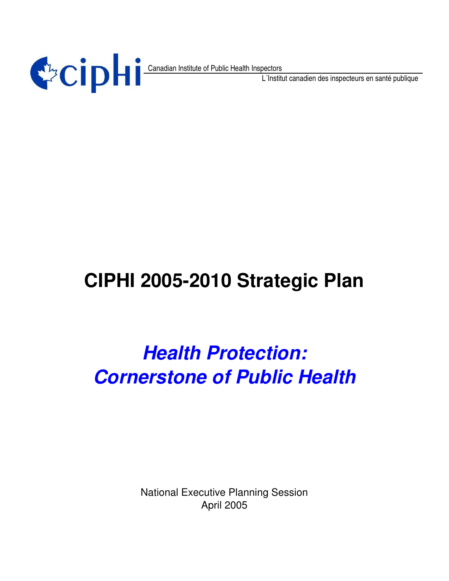

Canadian Institute of Public Health Inspectors

L´Institut canadien des inspecteurs en santé publique

# **CIPHI 2005-2010 Strategic Plan**

# *Health Protection: Cornerstone of Public Health*

National Executive Planning Session April 2005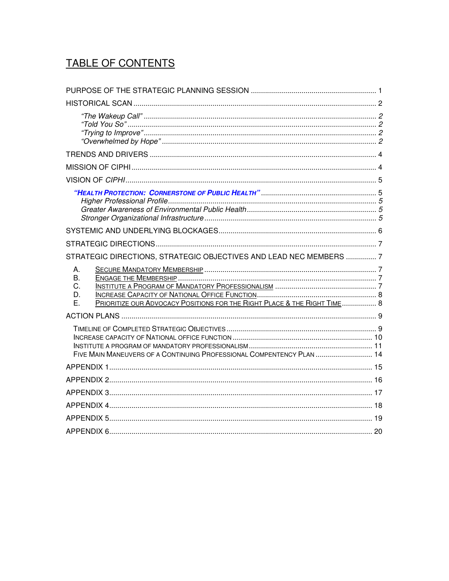# TABLE OF CONTENTS

| STRATEGIC DIRECTIONS, STRATEGIC OBJECTIVES AND LEAD NEC MEMBERS  7                                     |  |
|--------------------------------------------------------------------------------------------------------|--|
| А.<br>В.<br>C.<br>D.<br>PRIORITIZE OUR ADVOCACY POSITIONS FOR THE RIGHT PLACE & THE RIGHT TIME 8<br>Е. |  |
|                                                                                                        |  |
| FIVE MAIN MANEUVERS OF A CONTINUING PROFESSIONAL COMPENTENCY PLAN  14                                  |  |
|                                                                                                        |  |
|                                                                                                        |  |
|                                                                                                        |  |
|                                                                                                        |  |
|                                                                                                        |  |
|                                                                                                        |  |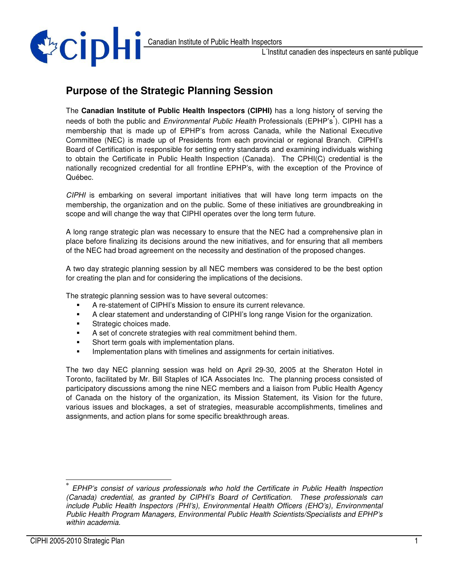

# **Purpose of the Strategic Planning Session**

The **Canadian Institute of Public Health Inspectors (CIPHI)** has a long history of serving the needs of both the public and *Environmental Public Health* Professionals (EPHP's **\*** ). CIPHI has a membership that is made up of EPHP's from across Canada, while the National Executive Committee (NEC) is made up of Presidents from each provincial or regional Branch. CIPHI's Board of Certification is responsible for setting entry standards and examining individuals wishing to obtain the Certificate in Public Health Inspection (Canada). The CPHI(C) credential is the nationally recognized credential for all frontline EPHP's, with the exception of the Province of Québec.

*CIPHI* is embarking on several important initiatives that will have long term impacts on the membership, the organization and on the public. Some of these initiatives are groundbreaking in scope and will change the way that CIPHI operates over the long term future.

A long range strategic plan was necessary to ensure that the NEC had a comprehensive plan in place before finalizing its decisions around the new initiatives, and for ensuring that all members of the NEC had broad agreement on the necessity and destination of the proposed changes.

A two day strategic planning session by all NEC members was considered to be the best option for creating the plan and for considering the implications of the decisions.

The strategic planning session was to have several outcomes:

- A re-statement of CIPHI's Mission to ensure its current relevance.
- A clear statement and understanding of CIPHI's long range Vision for the organization.
- Strategic choices made.
- A set of concrete strategies with real commitment behind them.
- Short term goals with implementation plans.
- Implementation plans with timelines and assignments for certain initiatives.

The two day NEC planning session was held on April 29-30, 2005 at the Sheraton Hotel in Toronto, facilitated by Mr. Bill Staples of ICA Associates Inc. The planning process consisted of participatory discussions among the nine NEC members and a liaison from Public Health Agency of Canada on the history of the organization, its Mission Statement, its Vision for the future, various issues and blockages, a set of strategies, measurable accomplishments, timelines and assignments, and action plans for some specific breakthrough areas.

*<sup>\*</sup> EPHP's consist of various professionals who hold the Certificate in Public Health Inspection (Canada) credential, as granted by CIPHI's Board of Certification. These professionals can include Public Health Inspectors (PHI's), Environmental Health Officers (EHO's), Environmental Public Health Program Managers, Environmental Public Health Scientists/Specialists and EPHP's within academia.*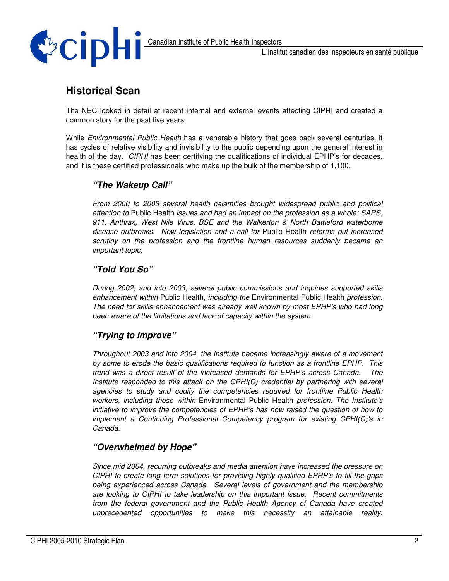

#### **Historical Scan**

The NEC looked in detail at recent internal and external events affecting CIPHI and created a common story for the past five years.

While *Environmental Public Health* has a venerable history that goes back several centuries, it has cycles of relative visibility and invisibility to the public depending upon the general interest in health of the day. *CIPHI* has been certifying the qualifications of individual EPHP's for decades, and it is these certified professionals who make up the bulk of the membership of 1,100.

#### *"The Wakeup Call"*

*From 2000 to 2003 several health calamities brought widespread public and political attention to* Public Health *issues and had an impact on the profession as a whole: SARS, 911, Anthrax, West Nile Virus, BSE and the Walkerton & North Battleford waterborne disease outbreaks. New legislation and a call for* Public Health *reforms put increased scrutiny on the profession and the frontline human resources suddenly became an important topic.*

#### *"Told You So"*

*During 2002, and into 2003, several public commissions and inquiries supported skills enhancement within* Public Health*, including the* Environmental Public Health *profession. The need for skills enhancement was already well known by most EPHP's who had long been aware of the limitations and lack of capacity within the system.*

#### *"Trying to Improve"*

*Throughout 2003 and into 2004, the Institute became increasingly aware of a movement by some to erode the basic qualifications required to function as a frontline EPHP. This trend was a direct result of the increased demands for EPHP's across Canada. The Institute responded to this attack on the CPHI(C) credential by partnering with several agencies to study and codify the competencies required for frontline Public Health workers, including those within* Environmental Public Health *profession. The Institute's initiative to improve the competencies of EPHP's has now raised the question of how to implement a Continuing Professional Competency program for existing CPHI(C)'s in Canada.*

#### *"Overwhelmed by Hope"*

*Since mid 2004, recurring outbreaks and media attention have increased the pressure on CIPHI to create long term solutions for providing highly qualified EPHP's to fill the gaps being experienced across Canada. Several levels of government and the membership are looking to CIPHI to take leadership on this important issue. Recent commitments from the federal government and the Public Health Agency of Canada have created unprecedented opportunities to make this necessity an attainable reality.*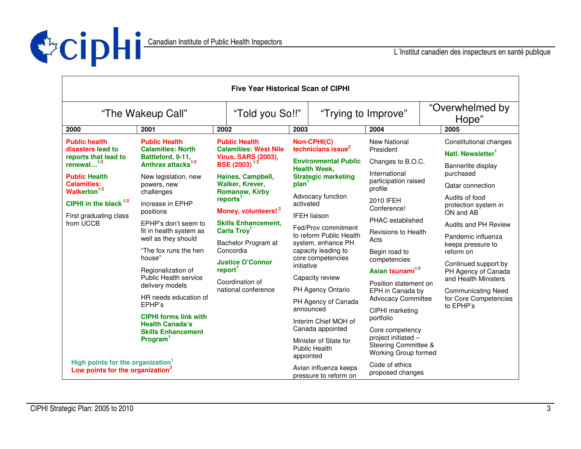

| <b>Five Year Historical Scan of CIPHI</b>                                                     |                                                                                                                                                            |                                                                                                          |                                                                                                                                                                                    |                                                                                                     |                                                                     |                                                                                                     |                                                         |  |
|-----------------------------------------------------------------------------------------------|------------------------------------------------------------------------------------------------------------------------------------------------------------|----------------------------------------------------------------------------------------------------------|------------------------------------------------------------------------------------------------------------------------------------------------------------------------------------|-----------------------------------------------------------------------------------------------------|---------------------------------------------------------------------|-----------------------------------------------------------------------------------------------------|---------------------------------------------------------|--|
| "The Wakeup Call"                                                                             |                                                                                                                                                            |                                                                                                          | "Told you So!!"                                                                                                                                                                    |                                                                                                     | "Trying to Improve"                                                 | "Overwhelmed by<br>Hope"                                                                            |                                                         |  |
| 2000                                                                                          | 2001                                                                                                                                                       | 2002                                                                                                     | 2003                                                                                                                                                                               |                                                                                                     | 2004                                                                |                                                                                                     | 2005                                                    |  |
| <b>Public health</b><br>disasters lead to<br>reports that lead to<br>renewal $^{1/2}$         | <b>Public Health</b><br><b>Calamities: North</b><br>Battleford, 9-11,<br>Anthrax attacks <sup>1/2</sup>                                                    | <b>Public Health</b><br><b>Calamities: West Nile</b><br><b>Virus, SARS (2003),</b><br>BSE $(2003)^{1/2}$ |                                                                                                                                                                                    | Non-CPHI(C)<br>technicians issue <sup>2</sup><br><b>Environmental Public</b>                        | <b>New National</b><br>President<br>Changes to B.O.C.               |                                                                                                     | Constitutional changes<br>Natl. Newsletter <sup>1</sup> |  |
|                                                                                               |                                                                                                                                                            |                                                                                                          | <b>Health Week,</b>                                                                                                                                                                |                                                                                                     | International                                                       |                                                                                                     | Bannerlite display<br>purchased                         |  |
| <b>Public Health</b><br><b>Calamities:</b><br>Walkerton <sup>1/2</sup>                        | New legislation, new<br>powers, new<br>challenges                                                                                                          | <b>Walker, Krever,</b><br><b>Romanow, Kirby</b>                                                          | Haines, Campbell,<br><b>Strategic marketing</b><br>plan <sup>1</sup>                                                                                                               |                                                                                                     | participation raised<br>profile                                     |                                                                                                     | <b>Qatar connection</b>                                 |  |
| CIPHI in the black $^{1/2}$                                                                   | increase in EPHP<br>positions                                                                                                                              | reports <sup>1</sup><br>Money, volunteers! <sup>2</sup>                                                  | Advocacy function<br>activated                                                                                                                                                     |                                                                                                     | 2010 IFEH<br>Conference!                                            |                                                                                                     | Audits of food<br>protection system in                  |  |
| First graduating class<br>from UCCB                                                           | EPHP's don't seem to                                                                                                                                       |                                                                                                          | <b>IFEH liaison</b><br><b>Skills Enhancement,</b><br>Fed/Prov commitment<br>to reform Public Health<br>system, enhance PH<br>Concordia<br>capacity leading to<br>core competencies |                                                                                                     | PHAC established                                                    |                                                                                                     | ON and AB                                               |  |
|                                                                                               | fit in health system as<br>well as they should<br>"The fox runs the hen<br>house"<br>Regionalization of<br><b>Public Health service</b><br>delivery models | Carla Troy <sup>1</sup>                                                                                  |                                                                                                                                                                                    | <b>Revisions to Health</b><br>Acts<br>Begin road to<br>competencies<br>Asian tsunami <sup>1/2</sup> |                                                                     | Audits and PH Review                                                                                |                                                         |  |
|                                                                                               |                                                                                                                                                            | Bachelor Program at                                                                                      |                                                                                                                                                                                    |                                                                                                     |                                                                     | Pandemic influenza<br>keeps pressure to<br>reform on<br>Continued support by<br>PH Agency of Canada |                                                         |  |
|                                                                                               |                                                                                                                                                            |                                                                                                          |                                                                                                                                                                                    |                                                                                                     |                                                                     |                                                                                                     |                                                         |  |
|                                                                                               |                                                                                                                                                            | <b>Justice O'Connor</b><br>report <sup>1</sup>                                                           | initiative                                                                                                                                                                         |                                                                                                     |                                                                     |                                                                                                     |                                                         |  |
|                                                                                               |                                                                                                                                                            | Coordination of<br>national conference                                                                   |                                                                                                                                                                                    | Capacity review<br>Position statement on                                                            |                                                                     |                                                                                                     | and Health Ministers                                    |  |
|                                                                                               |                                                                                                                                                            |                                                                                                          |                                                                                                                                                                                    | PH Agency Ontario                                                                                   | EPH in Canada by                                                    |                                                                                                     | <b>Communicating Need</b>                               |  |
|                                                                                               | HR needs education of<br>EPHP's                                                                                                                            |                                                                                                          |                                                                                                                                                                                    | PH Agency of Canada                                                                                 | <b>Advocacy Committee</b>                                           |                                                                                                     | for Core Competencies<br>to EPHP's                      |  |
|                                                                                               | <b>CIPHI forms link with</b>                                                                                                                               |                                                                                                          | announced<br>Interim Chief MOH of<br>Canada appointed                                                                                                                              |                                                                                                     | CIPHI marketing<br>portfolio                                        |                                                                                                     |                                                         |  |
|                                                                                               | <b>Health Canada's</b><br><b>Skills Enhancement</b>                                                                                                        |                                                                                                          |                                                                                                                                                                                    |                                                                                                     | Core competency                                                     |                                                                                                     |                                                         |  |
|                                                                                               | Program <sup>1</sup>                                                                                                                                       |                                                                                                          |                                                                                                                                                                                    | Minister of State for<br><b>Public Health</b><br>appointed                                          | project initiated -<br>Steering Committee &<br>Working Group formed |                                                                                                     |                                                         |  |
| High points for the organization <sup>1</sup><br>Low points for the organization <sup>2</sup> |                                                                                                                                                            |                                                                                                          |                                                                                                                                                                                    | Avian influenza keeps<br>pressure to reform on                                                      | Code of ethics<br>proposed changes                                  |                                                                                                     |                                                         |  |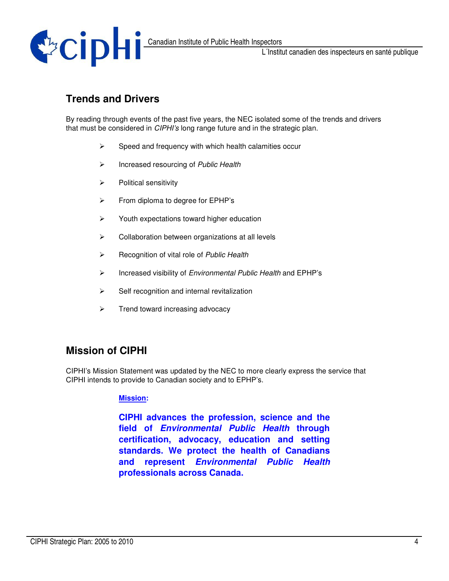

### **Trends and Drivers**

By reading through events of the past five years, the NEC isolated some of the trends and drivers that must be considered in *CIPHI's* long range future and in the strategic plan.

- $\blacktriangleright$ Speed and frequency with which health calamities occur
- $\blacktriangleright$ Increased resourcing of *Public Health*
- $\blacktriangleright$ Political sensitivity
- $\blacktriangleright$ From diploma to degree for EPHP's
- $\blacktriangleright$ Youth expectations toward higher education
- $\blacktriangleright$ Collaboration between organizations at all levels
- $\blacktriangleright$ Recognition of vital role of *Public Health*
- $\blacktriangleright$ Increased visibility of *Environmental Public Health* and EPHP's
- $\blacktriangleright$ Self recognition and internal revitalization
- $\blacktriangleright$ Trend toward increasing advocacy

### **Mission of CIPHI**

CIPHI's Mission Statement was updated by the NEC to more clearly express the service that CIPHI intends to provide to Canadian society and to EPHP's.

#### **Mission:**

**CIPHI advances the profession, science and the field of** *Environmental Public Health* **through certification, advocacy, education and setting standards. We protect the health of Canadians and represent** *Environmental Public Health* **professionals across Canada.**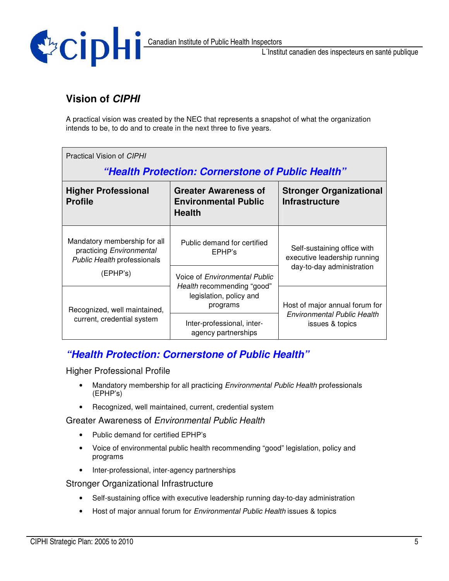

### **Vision of** *CIPHI*

A practical vision was created by the NEC that represents a snapshot of what the organization intends to be, to do and to create in the next three to five years.

| Practical Vision of CIPHI<br>"Health Protection: Cornerstone of Public Health"          |                                                                             |                                                             |  |  |  |  |  |
|-----------------------------------------------------------------------------------------|-----------------------------------------------------------------------------|-------------------------------------------------------------|--|--|--|--|--|
| <b>Higher Professional</b><br><b>Profile</b>                                            | <b>Greater Awareness of</b><br><b>Environmental Public</b><br><b>Health</b> | <b>Stronger Organizational</b><br><b>Infrastructure</b>     |  |  |  |  |  |
| Mandatory membership for all<br>practicing Environmental<br>Public Health professionals | Public demand for certified<br>EPHP's                                       | Self-sustaining office with<br>executive leadership running |  |  |  |  |  |
| (EPHP's)                                                                                | Voice of Environmental Public                                               | day-to-day administration                                   |  |  |  |  |  |
| Recognized, well maintained,                                                            | Health recommending "good"<br>legislation, policy and<br>programs           | Host of major annual forum for                              |  |  |  |  |  |
| current, credential system                                                              | Inter-professional, inter-<br>agency partnerships                           | <b>Environmental Public Health</b><br>issues & topics       |  |  |  |  |  |

### *"Health Protection: Cornerstone of Public Health"*

Higher Professional Profile

- Mandatory membership for all practicing *Environmental Public Health* professionals (EPHP's)
- Recognized, well maintained, current, credential system

Greater Awareness of *Environmental Public Health*

- Public demand for certified EPHP's
- Voice of environmental public health recommending "good" legislation, policy and programs
- Inter-professional, inter-agency partnerships

Stronger Organizational Infrastructure

- Self-sustaining office with executive leadership running day-to-day administration
- Host of major annual forum for *Environmental Public Health* issues & topics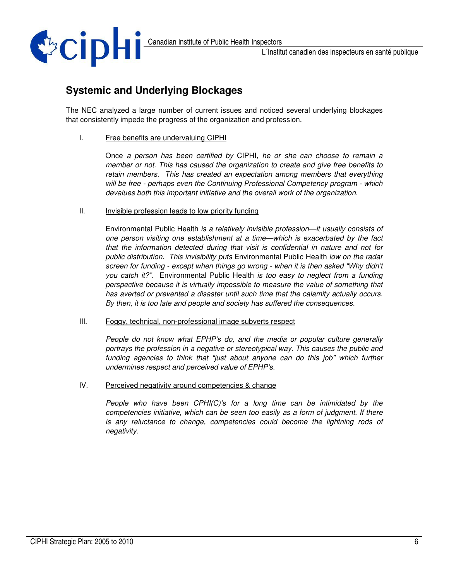

### **Systemic and Underlying Blockages**

The NEC analyzed a large number of current issues and noticed several underlying blockages that consistently impede the progress of the organization and profession.

I. Free benefits are undervaluing CIPHI

Once *a person has been certified by* CIPHI*, he or she can choose to remain a member or not. This has caused the organization to create and give free benefits to retain members. This has created an expectation among members that everything will be free - perhaps even the Continuing Professional Competency program - which devalues both this important initiative and the overall work of the organization.*

II. Invisible profession leads to low priority funding

Environmental Public Health *is a relatively invisible profession—it usually consists of one person visiting one establishment at a time—which is exacerbated by the fact that the information detected during that visit is confidential in nature and not for public distribution. This invisibility puts* Environmental Public Health *low on the radar screen for funding - except when things go wrong - when it is then asked "Why didn't you catch it?".* Environmental Public Health *is too easy to neglect from a funding perspective because it is virtually impossible to measure the value of something that has averted or prevented a disaster until such time that the calamity actually occurs. By then, it is too late and people and society has suffered the consequences.*

III. Foggy, technical, non-professional image subverts respect

*People do not know what EPHP's do, and the media or popular culture generally portrays the profession in a negative or stereotypical way. This causes the public and funding agencies to think that "just about anyone can do this job" which further undermines respect and perceived value of EPHP's.*

IV. Perceived negativity around competencies & change

*People who have been CPHI(C)'s for a long time can be intimidated by the competencies initiative, which can be seen too easily as a form of judgment. If there is any reluctance to change, competencies could become the lightning rods of negativity.*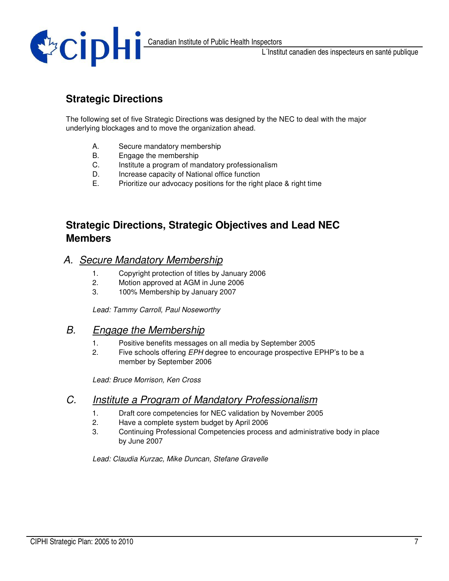

## **Strategic Directions**

The following set of five Strategic Directions was designed by the NEC to deal with the major underlying blockages and to move the organization ahead.

- A. Secure mandatory membership
- B. Engage the membership
- C. Institute a program of mandatory professionalism
- D. Increase capacity of National office function
- E. Prioritize our advocacy positions for the right place & right time

#### **Strategic Directions, Strategic Objectives and Lead NEC Members**

#### *A. Secure Mandatory Membership*

- 1. Copyright protection of titles by January 2006
- 2. Motion approved at AGM in June 2006
- 3. 100% Membership by January 2007

*Lead: Tammy Carroll, Paul Noseworthy*

#### *B. Engage the Membership*

- 1. Positive benefits messages on all media by September 2005
- 2. Five schools offering *EPH* degree to encourage prospective EPHP's to be a member by September 2006

*Lead: Bruce Morrison, Ken Cross*

#### *C. Institute a Program of Mandatory Professionalism*

- 1. Draft core competencies for NEC validation by November 2005
- 2. Have a complete system budget by April 2006
- 3. Continuing Professional Competencies process and administrative body in place by June 2007

*Lead: Claudia Kurzac, Mike Duncan, Stefane Gravelle*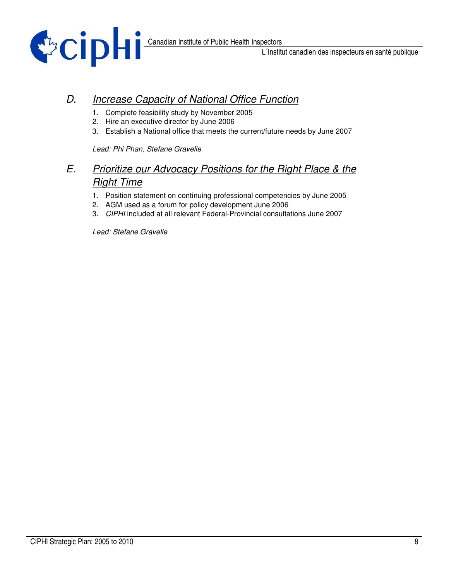

### *D. Increase Capacity of National Office Function*

- 1. Complete feasibility study by November 2005
- 2. Hire an executive director by June 2006
- 3. Establish a National office that meets the current/future needs by June 2007

*Lead: Phi Phan, Stefane Gravelle*

#### *E. Prioritize our Advocacy Positions for the Right Place & the Right Time*

- 1. Position statement on continuing professional competencies by June 2005
- 2. AGM used as a forum for policy development June 2006
- 3. *CIPHI* included at all relevant Federal-Provincial consultations June 2007

*Lead: Stefane Gravelle*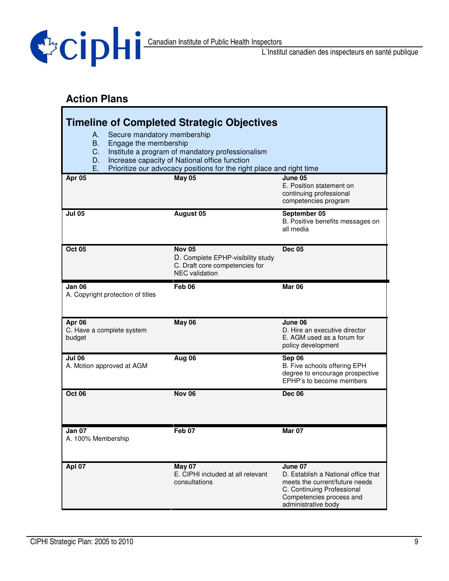

# **Action Plans**

| <b>Timeline of Completed Strategic Objectives</b>                                                                                                                                                                                                                      |                                                                                                               |                                                                                                                                                                   |  |  |  |  |  |
|------------------------------------------------------------------------------------------------------------------------------------------------------------------------------------------------------------------------------------------------------------------------|---------------------------------------------------------------------------------------------------------------|-------------------------------------------------------------------------------------------------------------------------------------------------------------------|--|--|--|--|--|
| Secure mandatory membership<br>А.<br><b>B.</b><br>Engage the membership<br>C.<br>Institute a program of mandatory professionalism<br>Increase capacity of National office function<br>D.<br>Prioritize our advocacy positions for the right place and right time<br>Ε. |                                                                                                               |                                                                                                                                                                   |  |  |  |  |  |
| Apr 05                                                                                                                                                                                                                                                                 | <b>May 05</b>                                                                                                 | June 05<br>E. Position statement on<br>continuing professional<br>competencies program                                                                            |  |  |  |  |  |
| <b>Jul 05</b>                                                                                                                                                                                                                                                          | August 05                                                                                                     | September 05<br>B. Positive benefits messages on<br>all media                                                                                                     |  |  |  |  |  |
| <b>Oct 05</b>                                                                                                                                                                                                                                                          | <b>Nov 05</b><br>D. Complete EPHP-visibility study<br>C. Draft core competencies for<br><b>NEC</b> validation | <b>Dec 05</b>                                                                                                                                                     |  |  |  |  |  |
| Jan 06<br>A. Copyright protection of titles                                                                                                                                                                                                                            | Feb <sub>06</sub>                                                                                             | Mar 06                                                                                                                                                            |  |  |  |  |  |
| Apr 06<br>C. Have a complete system<br>budget                                                                                                                                                                                                                          | May 06                                                                                                        | June 06<br>D. Hire an executive director<br>E. AGM used as a forum for<br>policy development                                                                      |  |  |  |  |  |
| Jul 06<br>A. Motion approved at AGM                                                                                                                                                                                                                                    | Aug 06                                                                                                        | Sep 06<br>B. Five schools offering EPH<br>degree to encourage prospective<br>EPHP's to become members                                                             |  |  |  |  |  |
| Oct 06                                                                                                                                                                                                                                                                 | <b>Nov 06</b>                                                                                                 | <b>Dec 06</b>                                                                                                                                                     |  |  |  |  |  |
| Jan 07<br>A. 100% Membership                                                                                                                                                                                                                                           | Feb 07                                                                                                        | Mar 07                                                                                                                                                            |  |  |  |  |  |
| <b>Apl 07</b>                                                                                                                                                                                                                                                          | <b>May 07</b><br>E. CIPHI included at all relevant<br>consultations                                           | June 07<br>D. Establish a National office that<br>meets the current/future needs<br>C. Continuing Professional<br>Competencies process and<br>administrative body |  |  |  |  |  |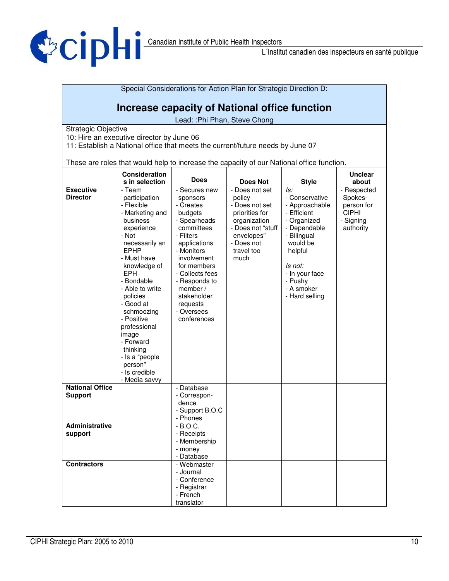

Special Considerations for Action Plan for Strategic Direction D:

# **Increase capacity of National office function**

Lead: :Phi Phan, Steve Chong

Strategic Objective

10: Hire an executive director by June 06

11: Establish a National office that meets the current/future needs by June 07

These are roles that would help to increase the capacity of our National office function.

|                                          | <b>Consideration</b><br>s in selection                                                                                                                                                                                                                                                                                                                          | <b>Does</b>                                                                                                                                                                                                                                       | <b>Does Not</b>                                                                                                                   | <b>Style</b>                                                                                                                                                                                 | <b>Unclear</b><br>about                                         |
|------------------------------------------|-----------------------------------------------------------------------------------------------------------------------------------------------------------------------------------------------------------------------------------------------------------------------------------------------------------------------------------------------------------------|---------------------------------------------------------------------------------------------------------------------------------------------------------------------------------------------------------------------------------------------------|-----------------------------------------------------------------------------------------------------------------------------------|----------------------------------------------------------------------------------------------------------------------------------------------------------------------------------------------|-----------------------------------------------------------------|
| <b>Executive</b>                         | - Team                                                                                                                                                                                                                                                                                                                                                          | - Secures new                                                                                                                                                                                                                                     | - Does not set                                                                                                                    | ls:                                                                                                                                                                                          | - Respected                                                     |
| <b>Director</b>                          | participation<br>- Flexible<br>- Marketing and<br>business<br>experience<br>- Not<br>necessarily an<br><b>EPHP</b><br>- Must have<br>knowledge of<br>EPH<br>- Bondable<br>- Able to write<br>policies<br>- Good at<br>schmoozing<br>- Positive<br>professional<br>image<br>- Forward<br>thinking<br>- Is a "people<br>person"<br>- Is credible<br>- Media savvy | sponsors<br>- Creates<br>budgets<br>- Spearheads<br>committees<br>- Filters<br>applications<br>- Monitors<br>involvement<br>for members<br>- Collects fees<br>- Responds to<br>member $/$<br>stakeholder<br>requests<br>- Oversees<br>conferences | policy<br>- Does not set<br>priorities for<br>organization<br>- Does not "stuff<br>envelopes"<br>- Does not<br>travel too<br>much | - Conservative<br>- Approachable<br>- Efficient<br>- Organized<br>- Dependable<br>- Bilingual<br>would be<br>helpful<br>Is not:<br>- In your face<br>- Pushy<br>- A smoker<br>- Hard selling | Spokes-<br>person for<br><b>CIPHI</b><br>- Signing<br>authority |
| <b>National Office</b><br><b>Support</b> |                                                                                                                                                                                                                                                                                                                                                                 | - Database<br>- Correspon-<br>dence<br>- Support B.O.C<br>- Phones                                                                                                                                                                                |                                                                                                                                   |                                                                                                                                                                                              |                                                                 |
| <b>Administrative</b><br>support         |                                                                                                                                                                                                                                                                                                                                                                 | $-B.O.C.$<br>- Receipts<br>- Membership<br>- money<br>- Database                                                                                                                                                                                  |                                                                                                                                   |                                                                                                                                                                                              |                                                                 |
| <b>Contractors</b>                       |                                                                                                                                                                                                                                                                                                                                                                 | - Webmaster<br>- Journal<br>- Conference<br>- Registrar<br>- French<br>translator                                                                                                                                                                 |                                                                                                                                   |                                                                                                                                                                                              |                                                                 |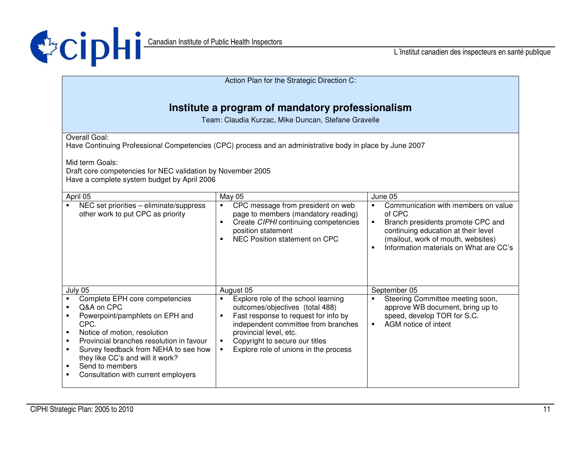

| Action Plan for the Strategic Direction C:                                                                                                                                                                                                                                                                                                                                                                                                 |                                                                                                                                                                                                                                                                                                                                    |                                                                                                                                                                                                                                                          |  |  |  |  |
|--------------------------------------------------------------------------------------------------------------------------------------------------------------------------------------------------------------------------------------------------------------------------------------------------------------------------------------------------------------------------------------------------------------------------------------------|------------------------------------------------------------------------------------------------------------------------------------------------------------------------------------------------------------------------------------------------------------------------------------------------------------------------------------|----------------------------------------------------------------------------------------------------------------------------------------------------------------------------------------------------------------------------------------------------------|--|--|--|--|
| Institute a program of mandatory professionalism<br>Team: Claudia Kurzac, Mike Duncan, Stefane Gravelle                                                                                                                                                                                                                                                                                                                                    |                                                                                                                                                                                                                                                                                                                                    |                                                                                                                                                                                                                                                          |  |  |  |  |
| Overall Goal:<br>Have Continuing Professional Competencies (CPC) process and an administrative body in place by June 2007<br>Mid term Goals:<br>Draft core competencies for NEC validation by November 2005<br>Have a complete system budget by April 2006                                                                                                                                                                                 |                                                                                                                                                                                                                                                                                                                                    |                                                                                                                                                                                                                                                          |  |  |  |  |
| April 05<br>NEC set priorities - eliminate/suppress<br>$\blacksquare$<br>other work to put CPC as priority                                                                                                                                                                                                                                                                                                                                 | May 05<br>CPC message from president on web<br>$\blacksquare$<br>page to members (mandatory reading)<br>Create CIPHI continuing competencies<br>$\blacksquare$<br>position statement<br>NEC Position statement on CPC                                                                                                              | June 05<br>Communication with members on value<br>$\blacksquare$<br>of CPC<br>Branch presidents promote CPC and<br>$\blacksquare$<br>continuing education at their level<br>(mailout, work of mouth, websites)<br>Information materials on What are CC's |  |  |  |  |
| July 05<br>Complete EPH core competencies<br>$\blacksquare$<br>Q&A on CPC<br>$\blacksquare$<br>Powerpoint/pamphlets on EPH and<br>$\blacksquare$<br>CPC.<br>Notice of motion, resolution<br>$\blacksquare$<br>Provincial branches resolution in favour<br>٠<br>Survey feedback from NEHA to see how<br>$\blacksquare$<br>they like CC's and will it work?<br>Send to members<br>$\blacksquare$<br>Consultation with current employers<br>٠ | August 05<br>Explore role of the school learning<br>$\blacksquare$<br>outcomes/objectives (total 488)<br>Fast response to request for info by<br>$\blacksquare$<br>independent committee from branches<br>provincial level, etc.<br>Copyright to secure our titles<br>$\blacksquare$<br>Explore role of unions in the process<br>٠ | September 05<br>Steering Committee meeting soon,<br>approve WB document, bring up to<br>speed, develop TOR for S.C.<br>AGM notice of intent<br>$\blacksquare$                                                                                            |  |  |  |  |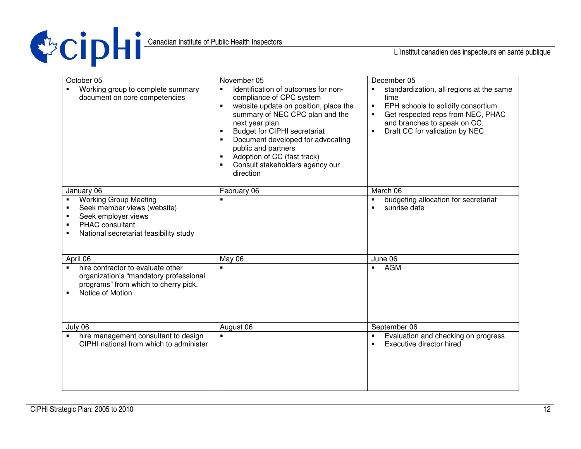

| October 05                                                                                                                                                                                                 | November 05                                                                                                                                                                                                                                                                                                                                                                         | December 05                                                                                                                                                                                                                                         |
|------------------------------------------------------------------------------------------------------------------------------------------------------------------------------------------------------------|-------------------------------------------------------------------------------------------------------------------------------------------------------------------------------------------------------------------------------------------------------------------------------------------------------------------------------------------------------------------------------------|-----------------------------------------------------------------------------------------------------------------------------------------------------------------------------------------------------------------------------------------------------|
| Working group to complete summary<br>document on core competencies                                                                                                                                         | Identification of outcomes for non-<br>$\blacksquare$<br>compliance of CPC system<br>website update on position, place the<br>$\blacksquare$<br>summary of NEC CPC plan and the<br>next year plan<br><b>Budget for CIPHI secretariat</b><br>Document developed for advocating<br>public and partners<br>Adoption of CC (fast track)<br>Consult stakeholders agency our<br>direction | standardization, all regions at the same<br>$\blacksquare$<br>time<br>EPH schools to solidify consortium<br>$\blacksquare$<br>Get respected reps from NEC, PHAC<br>and branches to speak on CC.<br>Draft CC for validation by NEC<br>$\blacksquare$ |
| January 06                                                                                                                                                                                                 | February 06                                                                                                                                                                                                                                                                                                                                                                         | March 06                                                                                                                                                                                                                                            |
| <b>Working Group Meeting</b><br>Seek member views (website)<br>$\blacksquare$<br>Seek employer views<br>$\blacksquare$<br>PHAC consultant<br>$\blacksquare$<br>National secretariat feasibility study<br>٠ |                                                                                                                                                                                                                                                                                                                                                                                     | budgeting allocation for secretariat<br>$\blacksquare$<br>sunrise date                                                                                                                                                                              |
| April 06                                                                                                                                                                                                   | May 06                                                                                                                                                                                                                                                                                                                                                                              | June 06                                                                                                                                                                                                                                             |
| hire contractor to evaluate other<br>organization's "mandatory professional<br>programs" from which to cherry pick.<br>Notice of Motion<br>$\blacksquare$                                                  |                                                                                                                                                                                                                                                                                                                                                                                     | <b>AGM</b><br>$\blacksquare$                                                                                                                                                                                                                        |
| July 06                                                                                                                                                                                                    | August 06                                                                                                                                                                                                                                                                                                                                                                           | September 06                                                                                                                                                                                                                                        |
| hire management consultant to design<br>$\blacksquare$<br>CIPHI national from which to administer                                                                                                          | $\blacksquare$                                                                                                                                                                                                                                                                                                                                                                      | Evaluation and checking on progress<br>$\blacksquare$<br>Executive director hired                                                                                                                                                                   |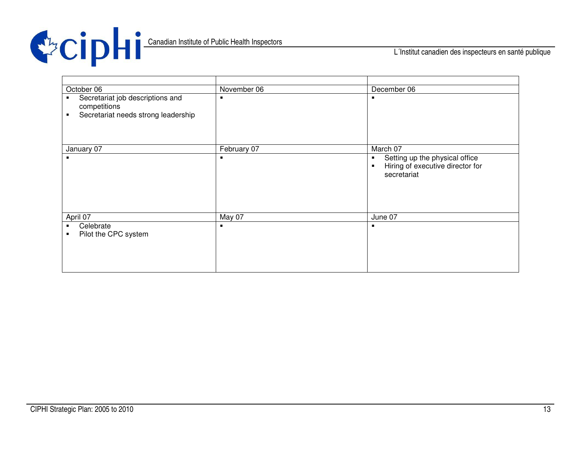

Canadian Institute of Public Health Inspectors

L´Institut canadien des inspecteurs en santé publique

| October 06                                                                                                     | November 06    | December 06                                                                                 |
|----------------------------------------------------------------------------------------------------------------|----------------|---------------------------------------------------------------------------------------------|
| Secretariat job descriptions and<br>$\blacksquare$<br>competitions<br>Secretariat needs strong leadership<br>п | $\blacksquare$ | ٠                                                                                           |
| January 07                                                                                                     | February 07    | March 07                                                                                    |
| $\blacksquare$                                                                                                 | ٠              | Setting up the physical office<br>٠<br>Hiring of executive director for<br>٠<br>secretariat |
| April 07                                                                                                       | May 07         | June 07                                                                                     |
| Celebrate<br>٠<br>Pilot the CPC system<br>٠                                                                    | $\blacksquare$ |                                                                                             |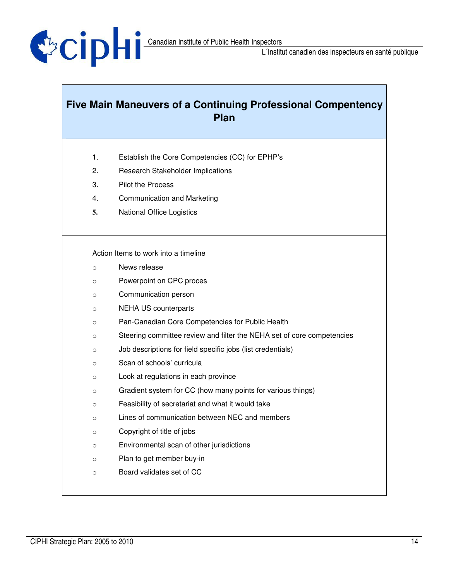

# **Five Main Maneuvers of a Continuing Professional Compentency Plan**

- 1. Establish the Core Competencies (CC) for EPHP's
- 2. Research Stakeholder Implications
- 3. Pilot the Process
- 4. Communication and Marketing
- **5.** National Office Logistics

Action Items to work into a timeline

- o News release
- o Powerpoint on CPC proces
- o Communication person
- o NEHA US counterparts
- o Pan-Canadian Core Competencies for Public Health
- o Steering committee review and filter the NEHA set of core competencies
- o Job descriptions for field specific jobs (list credentials)
- o Scan of schools' curricula
- o Look at regulations in each province
- o Gradient system for CC (how many points for various things)
- o Feasibility of secretariat and what it would take
- o Lines of communication between NEC and members
- o Copyright of title of jobs
- o Environmental scan of other jurisdictions
- o Plan to get member buy-in
- o Board validates set of CC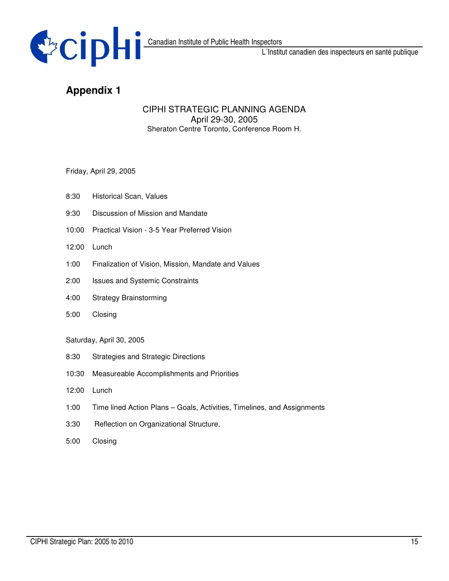

## **Appendix 1**

#### CIPHI STRATEGIC PLANNING AGENDA April 29-30, 2005 Sheraton Centre Toronto, Conference Room H.

Friday, April 29, 2005

- 8:30 Historical Scan, Values
- 9:30 Discussion of Mission and Mandate
- 10:00 Practical Vision 3-5 Year Preferred Vision
- 12:00 Lunch
- 1:00 Finalization of Vision, Mission, Mandate and Values
- 2:00 Issues and Systemic Constraints
- 4:00 Strategy Brainstorming
- 5:00 Closing

#### Saturday, April 30, 2005

- 8:30 Strategies and Strategic Directions
- 10:30 Measureable Accomplishments and Priorities
- 12:00 Lunch
- 1:00 Time lined Action Plans Goals, Activities, Timelines, and Assignments
- 3:30 Reflection on Organizational Structure,
- 5:00 Closing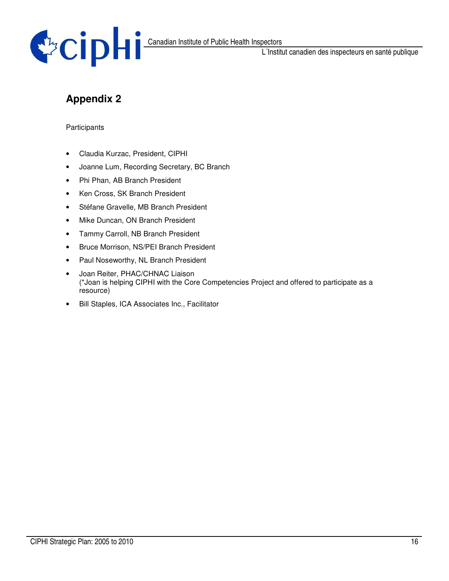

# **Appendix 2**

#### **Participants**

- Claudia Kurzac, President, CIPHI
- Joanne Lum, Recording Secretary, BC Branch
- Phi Phan, AB Branch President
- Ken Cross, SK Branch President
- Stéfane Gravelle, MB Branch President
- Mike Duncan, ON Branch President
- Tammy Carroll, NB Branch President
- Bruce Morrison, NS/PEI Branch President
- Paul Noseworthy, NL Branch President
- Joan Reiter, PHAC/CHNAC Liaison (\*Joan is helping CIPHI with the Core Competencies Project and offered to participate as a resource)
- Bill Staples, ICA Associates Inc., Facilitator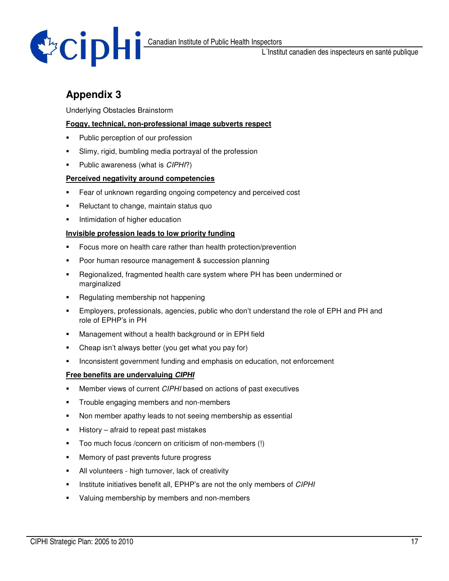

# **Appendix 3**

#### Underlying Obstacles Brainstorm

#### **Foggy, technical, non-professional image subverts respect**

- Public perception of our profession
- Slimy, rigid, bumbling media portrayal of the profession
- Public awareness (what is *CIPHI*?)

#### **Perceived negativity around competencies**

- **Fear of unknown regarding ongoing competency and perceived cost**
- **-** Reluctant to change, maintain status quo
- **Intimidation of higher education**

#### **Invisible profession leads to low priority funding**

- **Focus more on health care rather than health protection/prevention**
- **Poor human resource management & succession planning**
- Regionalized, fragmented health care system where PH has been undermined or marginalized
- Regulating membership not happening
- Employers, professionals, agencies, public who don't understand the role of EPH and PH and role of EPHP's in PH
- **Management without a health background or in EPH field**
- Cheap isn't always better (you get what you pay for)
- **Inconsistent government funding and emphasis on education, not enforcement**

#### **Free benefits are undervaluing** *CIPHI*

- Member views of current *CIPHI* based on actions of past executives
- **Trouble engaging members and non-members**
- Non member apathy leads to not seeing membership as essential
- $\blacksquare$  History afraid to repeat past mistakes
- Too much focus /concern on criticism of non-members (!)
- **Memory of past prevents future progress**
- All volunteers high turnover, lack of creativity
- Institute initiatives benefit all, EPHP's are not the only members of *CIPHI*
- Valuing membership by members and non-members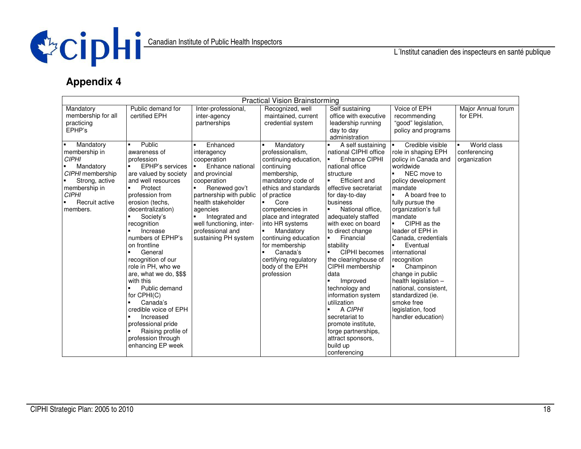

# **Appendix 4**

| <b>Practical Vision Brainstorming</b> |                                 |                          |                        |                       |                                   |                    |
|---------------------------------------|---------------------------------|--------------------------|------------------------|-----------------------|-----------------------------------|--------------------|
| Mandatory                             | Public demand for               | Inter-professional,      | Recognized, well       | Self sustaining       | Voice of EPH                      | Major Annual forum |
| membership for all                    | certified EPH                   | inter-agency             | maintained, current    | office with executive | recommending                      | for EPH.           |
| practicing                            |                                 | partnerships             | credential system      | leadership running    | "good" legislation,               |                    |
| EPHP's                                |                                 |                          |                        | day to day            | policy and programs               |                    |
|                                       |                                 |                          |                        | administration        |                                   |                    |
| Mandatory                             | Public                          | Enhanced                 | Mandatory              | A self sustaining     | Credible visible                  | World class        |
| membership in                         | awareness of                    | interagency              | professionalism,       | national CIPHI office | role in shaping EPH               | conferencing       |
| <b>CIPHI</b>                          | profession                      | cooperation              | continuing education,  | Enhance CIPHI         | policy in Canada and              | organization       |
| Mandatory                             | EPHP's services                 | Enhance national         | continuing             | national office       | worldwide                         |                    |
| CIPHI membership                      | are valued by society           | and provincial           | membership.            | structure             | NEC move to<br>$\blacksquare$     |                    |
| Strong, active                        | and well resources              | cooperation              | mandatory code of      | <b>Efficient</b> and  | policy development                |                    |
| membership in                         | Protect<br>٠.                   | Renewed gov't            | ethics and standards   | effective secretariat | mandate                           |                    |
| <b>CIPHI</b>                          | profession from                 | partnership with public  | of practice            | for day-to-day        | A board free to<br>$\blacksquare$ |                    |
| Recruit active                        | erosion (techs,                 | health stakeholder       | Core<br>$\blacksquare$ | business              | fully pursue the                  |                    |
| members.                              | decentralization)               | agencies                 | competencies in        | National office.      | organization's full               |                    |
|                                       | Society's                       | Integrated and           | place and integrated   | adequately staffed    | mandate                           |                    |
|                                       | recognition                     | well functioning, inter- | into HR systems        | with exec on board    | CIPHI as the                      |                    |
|                                       | Increase                        | professional and         | Mandatory              | to direct change      | leader of EPH in                  |                    |
|                                       | numbers of EPHP's               | sustaining PH system     | continuing education   | Financial<br>×        | Canada, credentials               |                    |
|                                       | on frontline                    |                          | for membership         | stability             | Eventual                          |                    |
|                                       | General<br>٠                    |                          | Canada's               | CIPHI becomes         | international                     |                    |
|                                       | recognition of our              |                          | certifying regulatory  | the clearinghouse of  | recognition                       |                    |
|                                       | role in PH, who we              |                          | body of the EPH        | CIPHI membership      | Champinon                         |                    |
|                                       | are, what we do, \$\$\$         |                          | profession             | data                  | change in public                  |                    |
|                                       | with this                       |                          |                        | Improved              | health legislation -              |                    |
|                                       | Public demand<br>$\blacksquare$ |                          |                        | technology and        | national, consistent,             |                    |
|                                       | for CPHI(C)                     |                          |                        | information system    | standardized (ie.                 |                    |
|                                       | Canada's                        |                          |                        | utilization           | smoke free                        |                    |
|                                       | credible voice of EPH           |                          |                        | A CIPHI               | legislation, food                 |                    |
|                                       | Increased                       |                          |                        | secretariat to        | handler education)                |                    |
|                                       | professional pride              |                          |                        | promote institute.    |                                   |                    |
|                                       | Raising profile of              |                          |                        | forge partnerships,   |                                   |                    |
|                                       | profession through              |                          |                        | attract sponsors,     |                                   |                    |
|                                       | enhancing EP week               |                          |                        | build up              |                                   |                    |
|                                       |                                 |                          |                        | conferencing          |                                   |                    |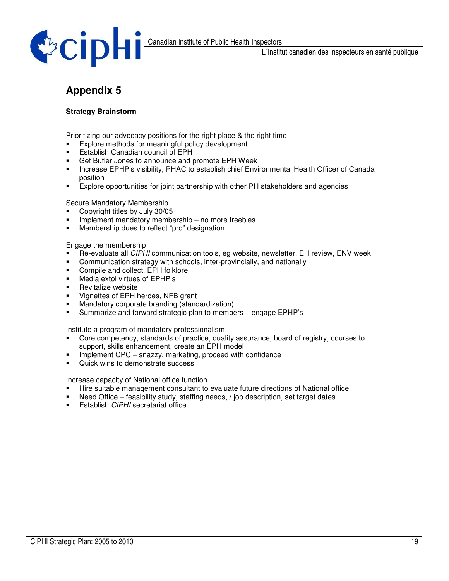

# **Appendix 5**

#### **Strategy Brainstorm**

Prioritizing our advocacy positions for the right place & the right time

- **Explore methods for meaningful policy development**<br>Establish Canadian council of FPH
- Establish Canadian council of EPH
- **Get Butler Jones to announce and promote EPH Week**
- **Increase EPHP's visibility, PHAC to establish chief Environmental Health Officer of Canada** position
- Explore opportunities for joint partnership with other PH stakeholders and agencies

Secure Mandatory Membership

- Copyright titles by July 30/05
- **Implement mandatory membership no more freebies**
- **Membership dues to reflect "pro" designation**

Engage the membership

- Re-evaluate all *CIPHI* communication tools, eg website, newsletter, EH review, ENV week
- **Communication strategy with schools, inter-provincially, and nationally**
- **EXECOMPILE AND COLLECT**, EPH folklore
- Media extol virtues of EPHP's
- **Revitalize website**
- **Vignettes of EPH heroes, NFB grant**
- **Mandatory corporate branding (standardization)**
- Summarize and forward strategic plan to members engage EPHP's

Institute a program of mandatory professionalism

- Core competency, standards of practice, quality assurance, board of registry, courses to support, skills enhancement, create an EPH model
- **Implement CPC snazzy, marketing, proceed with confidence**
- Quick wins to demonstrate success

Increase capacity of National office function

- Hire suitable management consultant to evaluate future directions of National office
- Need Office feasibility study, staffing needs, / job description, set target dates
- Establish *CIPHI* secretariat office